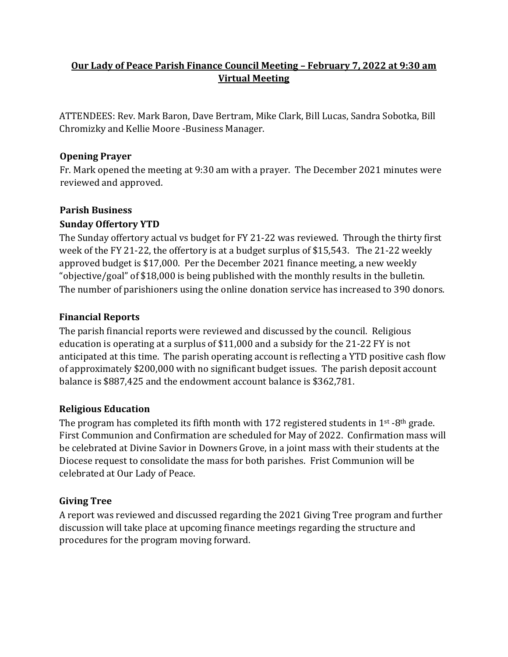# **Our Lady of Peace Parish Finance Council Meeting – February 7, 2022 at 9:30 am Virtual Meeting**

ATTENDEES: Rev. Mark Baron, Dave Bertram, Mike Clark, Bill Lucas, Sandra Sobotka, Bill Chromizky and Kellie Moore -Business Manager.

## **Opening Prayer**

Fr. Mark opened the meeting at 9:30 am with a prayer. The December 2021 minutes were reviewed and approved.

### **Parish Business**

### **Sunday Offertory YTD**

The Sunday offertory actual vs budget for FY 21-22 was reviewed. Through the thirty first week of the FY 21-22, the offertory is at a budget surplus of \$15,543. The 21-22 weekly approved budget is \$17,000. Per the December 2021 finance meeting, a new weekly "objective/goal" of \$18,000 is being published with the monthly results in the bulletin. The number of parishioners using the online donation service has increased to 390 donors.

### **Financial Reports**

The parish financial reports were reviewed and discussed by the council. Religious education is operating at a surplus of \$11,000 and a subsidy for the 21-22 FY is not anticipated at this time. The parish operating account is reflecting a YTD positive cash flow of approximately \$200,000 with no significant budget issues. The parish deposit account balance is \$887,425 and the endowment account balance is \$362,781.

## **Religious Education**

The program has completed its fifth month with 172 registered students in  $1^{st}$ -8<sup>th</sup> grade. First Communion and Confirmation are scheduled for May of 2022. Confirmation mass will be celebrated at Divine Savior in Downers Grove, in a joint mass with their students at the Diocese request to consolidate the mass for both parishes. Frist Communion will be celebrated at Our Lady of Peace.

## **Giving Tree**

A report was reviewed and discussed regarding the 2021 Giving Tree program and further discussion will take place at upcoming finance meetings regarding the structure and procedures for the program moving forward.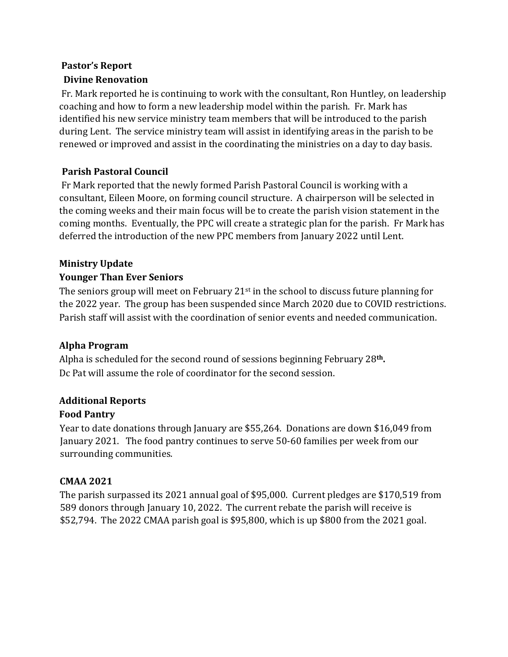# **Pastor's Report Divine Renovation**

Fr. Mark reported he is continuing to work with the consultant, Ron Huntley, on leadership coaching and how to form a new leadership model within the parish. Fr. Mark has identified his new service ministry team members that will be introduced to the parish during Lent. The service ministry team will assist in identifying areas in the parish to be renewed or improved and assist in the coordinating the ministries on a day to day basis.

# **Parish Pastoral Council**

Fr Mark reported that the newly formed Parish Pastoral Council is working with a consultant, Eileen Moore, on forming council structure. A chairperson will be selected in the coming weeks and their main focus will be to create the parish vision statement in the coming months. Eventually, the PPC will create a strategic plan for the parish. Fr Mark has deferred the introduction of the new PPC members from January 2022 until Lent.

## **Ministry Update**

## **Younger Than Ever Seniors**

The seniors group will meet on February 21<sup>st</sup> in the school to discuss future planning for the 2022 year. The group has been suspended since March 2020 due to COVID restrictions. Parish staff will assist with the coordination of senior events and needed communication.

## **Alpha Program**

Alpha is scheduled for the second round of sessions beginning February 28**th.**  Dc Pat will assume the role of coordinator for the second session.

## **Additional Reports**

## **Food Pantry**

Year to date donations through January are \$55,264. Donations are down \$16,049 from January 2021. The food pantry continues to serve 50-60 families per week from our surrounding communities.

## **CMAA 2021**

The parish surpassed its 2021 annual goal of \$95,000. Current pledges are \$170,519 from 589 donors through January 10, 2022. The current rebate the parish will receive is \$52,794. The 2022 CMAA parish goal is \$95,800, which is up \$800 from the 2021 goal.